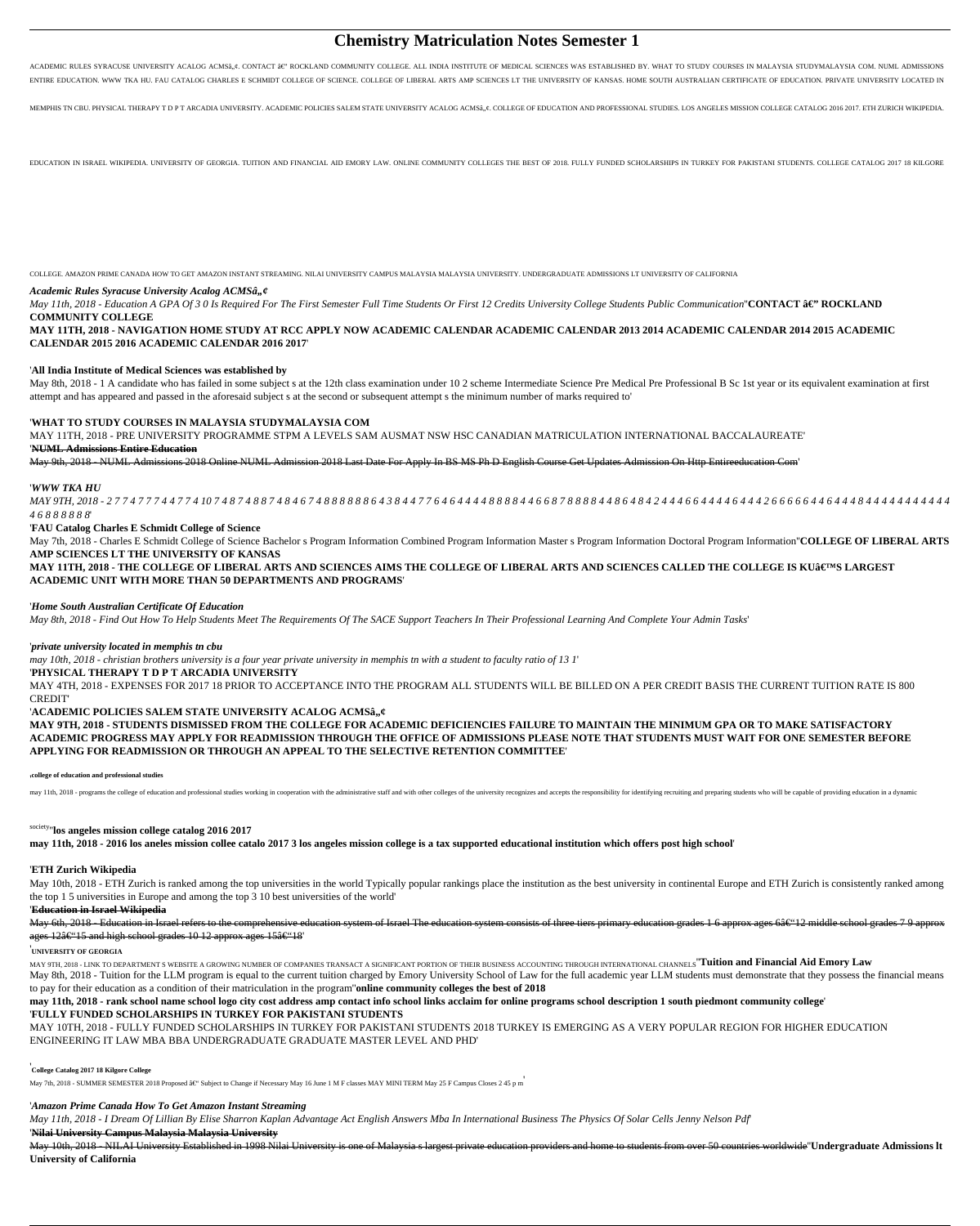# **Chemistry Matriculation Notes Semester 1**

ACADEMIC RULES SYRACUSE UNIVERSITY ACALOG ACMSâ,¢. CONTACT â€" ROCKLAND COMMUNITY COLLEGE. ALL INDIA INSTITUTE OF MEDICAL SCIENCES WAS ESTABLISHED BY. WHAT TO STUDY COURSES IN MALAYSIA STUDYMALAYSIA COM. NUML ADMISSIONS ENTIRE EDUCATION. WWW TKA HU. FAU CATALOG CHARLES E SCHMIDT COLLEGE OF SCIENCE. COLLEGE OF LIBERAL ARTS AMP SCIENCES LT THE UNIVERSITY OF KANSAS. HOME SOUTH AUSTRALIAN CERTIFICATE OF EDUCATION. PRIVATE UNIVERSITY LOCATED IN

MEMPHIS TN CBU. PHYSICAL THERAPY T D P T ARCADIA UNIVERSITY. ACADEMIC POLICIES SALEM STATE UNIVERSITY ACALOG ACMSâ.,e. COLLEGE OF EDUCATION AND PROFESSIONAL STUDIES. LOS ANGELES MISSION COLLEGE CATALOG 2016 2017. ETH ZURIC

EDUCATION IN ISRAEL WIKIPEDIA. UNIVERSITY OF GEORGIA. TUITION AND FINANCIAL AID EMORY LAW. ONLINE COMMUNITY COLLEGES THE BEST OF 2018. FULLY FUNDED SCHOLARSHIPS IN TURKEY FOR PAKISTANI STUDENTS. COLLEGE CATALOG 2017 18 KIL

*May 11th, 2018 - Education A GPA Of 3 0 Is Required For The First Semester Full Time Students Or First 12 Credits University College Students Public Communication*<sup>"CONTACT  $\hat{\mathbf{a}} \in \mathbb{C}^n$  ROCKLAND</sup> **COMMUNITY COLLEGE**

May 8th, 2018 - 1 A candidate who has failed in some subject s at the 12th class examination under 10 2 scheme Intermediate Science Pre Medical Pre Professional B Sc 1st year or its equivalent examination at first attempt and has appeared and passed in the aforesaid subject s at the second or subsequent attempt s the minimum number of marks required to'

COLLEGE. AMAZON PRIME CANADA HOW TO GET AMAZON INSTANT STREAMING. NILAI UNIVERSITY CAMPUS MALAYSIA MALAYSIA UNIVERSITY. UNDERGRADUATE ADMISSIONS LT UNIVERSITY OF CALIFORNIA

## *Academic Rules Syracuse University Acalog ACMSâ,,¢*

MAY 9TH, 2018 - 2 7 7 4 7 7 7 4 4 7 7 4 10 7 4 8 7 4 8 8 7 4 8 4 6 7 4 8 8 8 8 6 4 3 8 4 4 7 7 6 4 6 4 4 4 6 6 8 7 8 8 8 4 4 8 6 4 8 4 2 4 4 4 6 6 4 4 4 4 6 6 6 6 6 6 6 6 4 4 6 6 4 6 4 6 4 4 6 8 4 4 6 7 8 8 8 7 8 8 8 4 4 8 *4 6 8 8 8 8 8 8*'

**MAY 11TH, 2018 - NAVIGATION HOME STUDY AT RCC APPLY NOW ACADEMIC CALENDAR ACADEMIC CALENDAR 2013 2014 ACADEMIC CALENDAR 2014 2015 ACADEMIC CALENDAR 2015 2016 ACADEMIC CALENDAR 2016 2017**'

MAY 11TH, 2018 - THE COLLEGE OF LIBERAL ARTS AND SCIENCES AIMS THE COLLEGE OF LIBERAL ARTS AND SCIENCES CALLED THE COLLEGE IS KU'S LARGEST **ACADEMIC UNIT WITH MORE THAN 50 DEPARTMENTS AND PROGRAMS**'

#### '**All India Institute of Medical Sciences was established by**

## '**WHAT TO STUDY COURSES IN MALAYSIA STUDYMALAYSIA COM**

MAY 11TH, 2018 - PRE UNIVERSITY PROGRAMME STPM A LEVELS SAM AUSMAT NSW HSC CANADIAN MATRICULATION INTERNATIONAL BACCALAUREATE'

## '**NUML Admissions Entire Education**

May 9th, 2018 - NUML Admissions 2018 Online NUML Admission 2018 Last Date For Apply In BS MS Ph D English Course Get Updates Admission On Http Entireeducation Com'

#### '*WWW TKA HU*

May 10th, 2018 - ETH Zurich is ranked among the top universities in the world Typically popular rankings place the institution as the best university in continental Europe and ETH Zurich is consistently ranked among the top 1 5 universities in Europe and among the top 3 10 best universities of the world'

#### '**FAU Catalog Charles E Schmidt College of Science**

May 7th, 2018 - Charles E Schmidt College of Science Bachelor s Program Information Combined Program Information Master s Program Information Doctoral Program Information''**COLLEGE OF LIBERAL ARTS AMP SCIENCES LT THE UNIVERSITY OF KANSAS**

MAY 9TH, 2018 - LINK TO DEPARTMENT S WEBSITE A GROWING NUMBER OF COMPANIES TRANSACT A SIGNIFICANT PORTION OF THEIR BUSINESS ACCOUNTING THROUGH INTERNATIONAL CHANNELS **Tuition and Financial Aid Emory Law** May 8th, 2018 - Tuition for the LLM program is equal to the current tuition charged by Emory University School of Law for the full academic year LLM students must demonstrate that they possess the financial means to pay for their education as a condition of their matriculation in the program''**online community colleges the best of 2018**

#### '*Home South Australian Certificate Of Education*

*May 8th, 2018 - Find Out How To Help Students Meet The Requirements Of The SACE Support Teachers In Their Professional Learning And Complete Your Admin Tasks*'

## '*private university located in memphis tn cbu*

*may 10th, 2018 - christian brothers university is a four year private university in memphis tn with a student to faculty ratio of 13 1*'

## '**PHYSICAL THERAPY T D P T ARCADIA UNIVERSITY**

MAY 4TH, 2018 - EXPENSES FOR 2017 18 PRIOR TO ACCEPTANCE INTO THE PROGRAM ALL STUDENTS WILL BE BILLED ON A PER CREDIT BASIS THE CURRENT TUITION RATE IS 800 CREDIT'

#### 'ACADEMIC POLICIES SALEM STATE UNIVERSITY ACALOG ACMSâ,,¢

**MAY 9TH, 2018 - STUDENTS DISMISSED FROM THE COLLEGE FOR ACADEMIC DEFICIENCIES FAILURE TO MAINTAIN THE MINIMUM GPA OR TO MAKE SATISFACTORY ACADEMIC PROGRESS MAY APPLY FOR READMISSION THROUGH THE OFFICE OF ADMISSIONS PLEASE NOTE THAT STUDENTS MUST WAIT FOR ONE SEMESTER BEFORE APPLYING FOR READMISSION OR THROUGH AN APPEAL TO THE SELECTIVE RETENTION COMMITTEE**'

may 11th, 2018 - programs the college of education and professional studies working in cooperation with the administrative staff and with other colleges of the university recognizes and accepts the responsibility for ident

'**college of education and professional studies**

# society''**los angeles mission college catalog 2016 2017**

**may 11th, 2018 - 2016 los aneles mission collee catalo 2017 3 los angeles mission college is a tax supported educational institution which offers post high school**'

## '**ETH Zurich Wikipedia**

### '**Education in Israel Wikipedia**

May 6th, 2018 - Education in Israel refers to the comprehensive education system of Israel The education system consists of three tiers primary education grades 1 6 approx ages 6â € '12 middle school grades 7 9 approx ages  $12a \in 15$  and high school grades 10 12 approx ages  $15a \in 18$ 

#### '**UNIVERSITY OF GEORGIA**

**may 11th, 2018 - rank school name school logo city cost address amp contact info school links acclaim for online programs school description 1 south piedmont community college**' '**FULLY FUNDED SCHOLARSHIPS IN TURKEY FOR PAKISTANI STUDENTS**

MAY 10TH, 2018 - FULLY FUNDED SCHOLARSHIPS IN TURKEY FOR PAKISTANI STUDENTS 2018 TURKEY IS EMERGING AS A VERY POPULAR REGION FOR HIGHER EDUCATION ENGINEERING IT LAW MBA BBA UNDERGRADUATE GRADUATE MASTER LEVEL AND PHD'

'**College Catalog 2017 18 Kilgore College**

May 7th, 2018 - SUMMER SEMESTER 2018 Proposed – Subject to Change if Necessary May 16 June 1 M F classes MAY MINI TERM May 25 F Campus Closes 2 45 p m

#### '*Amazon Prime Canada How To Get Amazon Instant Streaming*

*May 11th, 2018 - I Dream Of Lillian By Elise Sharron Kaplan Advantage Act English Answers Mba In International Business The Physics Of Solar Cells Jenny Nelson Pdf*' '**Nilai University Campus Malaysia Malaysia University**

May 10th, 2018 - NILAI University Established in 1998 Nilai University is one of Malaysia s largest private education providers and home to students from over 50 countries worldwide''**Undergraduate Admissions lt University of California**